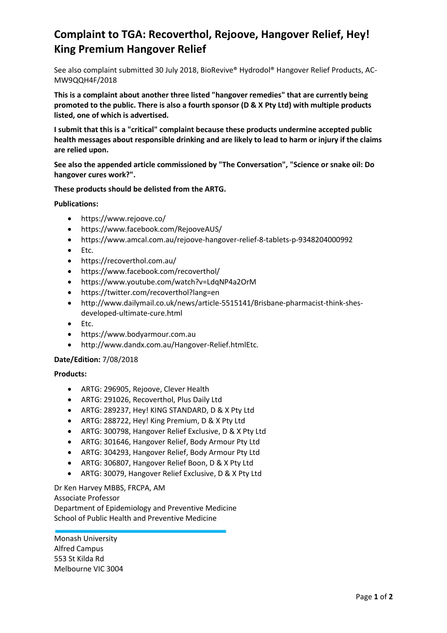## **Complaint to TGA: Recoverthol, Rejoove, Hangover Relief, Hey! King Premium Hangover Relief**

See also complaint submitted 30 July 2018, BioRevive® Hydrodol® Hangover Relief Products, AC-MW9QQH4F/2018

**This is a complaint about another three listed "hangover remedies" that are currently being promoted to the public. There is also a fourth sponsor (D & X Pty Ltd) with multiple products listed, one of which is advertised.**

**I submit that this is a "critical" complaint because these products undermine accepted public health messages about responsible drinking and are likely to lead to harm or injury if the claims are relied upon.**

**See also the appended article commissioned by "The Conversation", "Science or snake oil: Do hangover cures work?".**

## **These products should be delisted from the ARTG.**

**Publications:**

- https://www.rejoove.co/
- https://www.facebook.com/RejooveAUS/
- https://www.amcal.com.au/rejoove-hangover-relief-8-tablets-p-9348204000992
- Etc.
- https://recoverthol.com.au/
- https://www.facebook.com/recoverthol/
- https://www.youtube.com/watch?v=LdqNP4a2OrM
- https://twitter.com/recoverthol?lang=en
- http://www.dailymail.co.uk/news/article-5515141/Brisbane-pharmacist-think-shesdeveloped-ultimate-cure.html
- Etc.
- https://www.bodyarmour.com.au
- http://www.dandx.com.au/Hangover-Relief.htmlEtc.

## **Date/Edition:** 7/08/2018

## **Products:**

- ARTG: 296905, Rejoove, Clever Health
- ARTG: 291026, Recoverthol, Plus Daily Ltd
- ARTG: 289237, Hey! KING STANDARD, D & X Pty Ltd
- ARTG: 288722, Hey! King Premium, D & X Pty Ltd
- ARTG: 300798, Hangover Relief Exclusive, D & X Pty Ltd
- ARTG: 301646, Hangover Relief, Body Armour Pty Ltd
- ARTG: 304293, Hangover Relief, Body Armour Pty Ltd
- ARTG: 306807, Hangover Relief Boon, D & X Pty Ltd
- ARTG: 30079, Hangover Relief Exclusive, D & X Pty Ltd

Dr Ken Harvey MBBS, FRCPA, AM Associate Professor Department of Epidemiology and Preventive Medicine School of Public Health and Preventive Medicine

Monash University Alfred Campus 553 St Kilda Rd Melbourne VIC 3004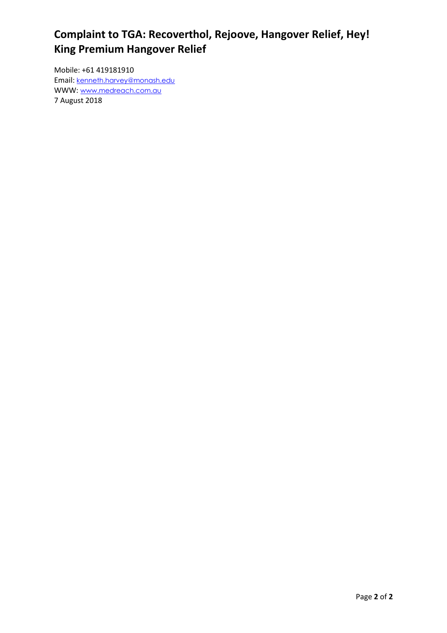## **Complaint to TGA: Recoverthol, Rejoove, Hangover Relief, Hey! King Premium Hangover Relief**

Mobile: +61 419181910 Email: [kenneth.harvey@monash.edu](mailto:kenneth.harvey@monash.edu) WWW: [www.medreach.com.au](http://www.medreach.com.au/) 7 August 2018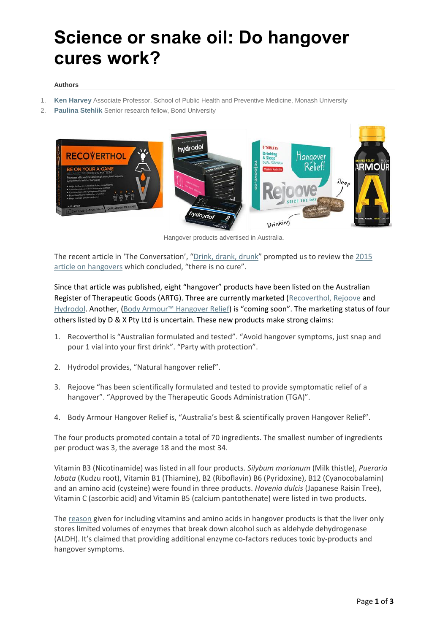# **Science or snake oil: Do hangover cures work?**

#### **Authors**

- 1. **Ken [Harvey](https://theconversation.com/profiles/ken-harvey-218)** Associate Professor, School of Public Health and Preventive Medicine, Monash University
- 2. **[Paulina](https://theconversation.com/profiles/paulina-stehlik-241148) Stehlik** Senior research fellow, Bond University



Hangover products advertised in Australia.

The recent article in 'The Conversation', "[Drink, drank, drunk](https://theconversation.com/drink-drank-drunk-what-happens-when-we-drink-alcohol-in-four-short-videos-100206)" prompted us to review the [2015](https://theconversation.com/got-a-hangover-heres-whats-happening-in-your-body-51027)  [article on hangovers](https://theconversation.com/got-a-hangover-heres-whats-happening-in-your-body-51027) which concluded, "there is no cure".

Since that article was published, eight "hangover" products have been listed on the Australian Register of Therapeutic Goods (ARTG). Three are currently marketed [\(Recoverthol,](https://recoverthol.com.au/) [Rejoove](https://www.rejoove.co/) and [Hydrodol.](https://hydrodol.com.au/) Another, ([Body Armour™ Hangover Relief\)](https://www.bodyarmour.com.au/) is "coming soon". The marketing status of four others listed by D & X Pty Ltd is uncertain. These new products make strong claims:

- 1. Recoverthol is "Australian formulated and tested". "Avoid hangover symptoms, just snap and pour 1 vial into your first drink". "Party with protection".
- 2. Hydrodol provides, "Natural hangover relief".
- 3. Rejoove "has been scientifically formulated and tested to provide symptomatic relief of a hangover". "Approved by the Therapeutic Goods Administration (TGA)".
- 4. Body Armour Hangover Relief is, "Australia's best & scientifically proven Hangover Relief".

The four products promoted contain a total of 70 ingredients. The smallest number of ingredients per product was 3, the average 18 and the most 34.

Vitamin B3 (Nicotinamide) was listed in all four products. *Silybum marianum* (Milk thistle), *Pueraria lobata* (Kudzu root), Vitamin B1 (Thiamine), B2 (Riboflavin) B6 (Pyridoxine), B12 (Cyanocobalamin) and an amino acid (cysteine) were found in three products. *Hovenia dulcis* (Japanese Raisin Tree), Vitamin C (ascorbic acid) and Vitamin B5 (calcium pantothenate) were listed in two products.

The [reason](https://www.bodyarmour.com.au/the-science) given for including vitamins and amino acids in hangover products is that the liver only stores limited volumes of enzymes that break down alcohol such as aldehyde dehydrogenase (ALDH). It's claimed that providing additional enzyme co-factors reduces toxic by-products and hangover symptoms.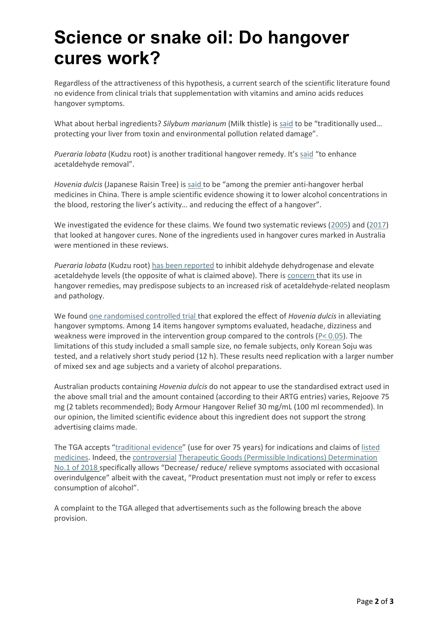# **Science or snake oil: Do hangover cures work?**

Regardless of the attractiveness of this hypothesis, a current search of the scientific literature found no evidence from clinical trials that supplementation with vitamins and amino acids reduces hangover symptoms.

What about herbal ingredients? *Silybum marianum* (Milk thistle) is [said](https://www.rejoove.co/ingredients/) to be "traditionally used… protecting your liver from toxin and environmental pollution related damage".

*Pueraria lobata* (Kudzu root) is another traditional hangover remedy. It's [said](https://www.bodyarmour.com.au/the-science) "to enhance acetaldehyde removal".

*Hovenia dulcis* (Japanese Raisin Tree) is [said](https://www.bodyarmour.com.au/the-science) to be "among the premier anti-hangover herbal medicines in China. There is ample scientific evidence showing it to lower alcohol concentrations in the blood, restoring the liver's activity… and reducing the effect of a hangover".

We investigated the evidence for these claims. We found two systematic reviews [\(2005\)](https://www.bmj.com/content/331/7531/1515) and [\(2017\)](https://www.ncbi.nlm.nih.gov/pubmed/28568743) that looked at hangover cures. None of the ingredients used in hangover cures marked in Australia were mentioned in these reviews.

*Pueraria lobata* (Kudzu root) [has been reported](https://www.tandfonline.com/doi/full/10.3109/19390211.2014.904123) to inhibit aldehyde dehydrogenase and elevate acetaldehyde levels (the opposite of what is claimed above). There is [concern](https://www.ncbi.nlm.nih.gov/pubmed/17980785) that its use in hangover remedies, may predispose subjects to an increased risk of acetaldehyde-related neoplasm and pathology.

We found [one randomised controlled trial](https://www.ncbi.nlm.nih.gov/pubmed?term=28750942) that explored the effect of *Hovenia dulcis* in alleviating hangover symptoms. Among 14 items hangover symptoms evaluated, headache, dizziness and weakness were improved in the intervention group compared to the controls ( $P < 0.05$ ). The limitations of this study included a small sample size, no female subjects, only Korean Soju was tested, and a relatively short study period (12 h). These results need replication with a larger number of mixed sex and age subjects and a variety of alcohol preparations.

Australian products containing *Hovenia dulcis* do not appear to use the standardised extract used in the above small trial and the amount contained (according to their ARTG entries) varies, Rejoove 75 mg (2 tablets recommended); Body Armour Hangover Relief 30 mg/mL (100 ml recommended). In our opinion, the limited scientific evidence about this ingredient does not support the strong advertising claims made.

The TGA accepts "[traditional evidence](https://www.tga.gov.au/publication/evidence-guidelines)" (use for over 75 years) for indications and claims of [listed](https://www.tga.gov.au/listed-medicines)  [medicines.](https://www.tga.gov.au/listed-medicines) Indeed, the [controversial](https://www.smh.com.au/opinion/new-list-of-permitted-advertising-lines-for-complementary-medicine-products-does-little-to-protect-consumers-20180208-h0vrwm.html) [Therapeutic Goods \(Permissible Indications\) Determination](https://www.legislation.gov.au/Details/F2018L00215)  [No.1 of 2018](https://www.legislation.gov.au/Details/F2018L00215) specifically allows "Decrease/ reduce/ relieve symptoms associated with occasional overindulgence" albeit with the caveat, "Product presentation must not imply or refer to excess consumption of alcohol".

A complaint to the TGA alleged that advertisements such as the following breach the above provision.